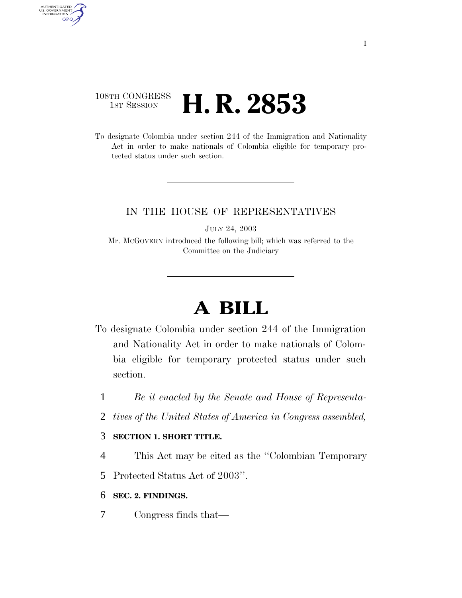### 108TH CONGRESS <sup>TH CONGRESS</sup> **H. R. 2853**

AUTHENTICATED<br>U.S. GOVERNMENT<br>INFORMATION GPO

> To designate Colombia under section 244 of the Immigration and Nationality Act in order to make nationals of Colombia eligible for temporary protected status under such section.

#### IN THE HOUSE OF REPRESENTATIVES

JULY 24, 2003

Mr. MCGOVERN introduced the following bill; which was referred to the Committee on the Judiciary

# **A BILL**

- To designate Colombia under section 244 of the Immigration and Nationality Act in order to make nationals of Colombia eligible for temporary protected status under such section.
	- 1 *Be it enacted by the Senate and House of Representa-*
	- 2 *tives of the United States of America in Congress assembled,*

#### 3 **SECTION 1. SHORT TITLE.**

- 4 This Act may be cited as the ''Colombian Temporary
- 5 Protected Status Act of 2003''.
- 6 **SEC. 2. FINDINGS.**
- 7 Congress finds that—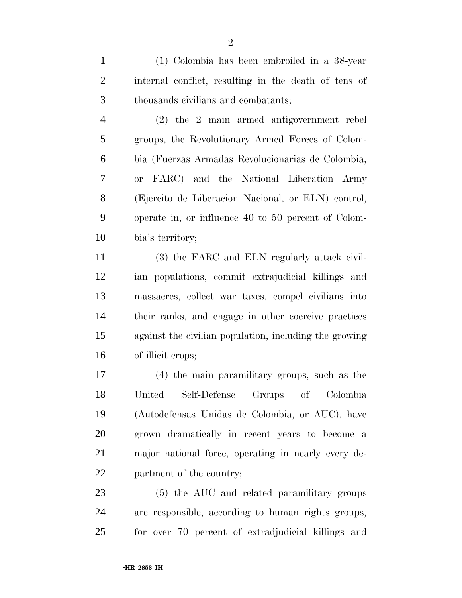(1) Colombia has been embroiled in a 38-year internal conflict, resulting in the death of tens of thousands civilians and combatants;

 (2) the 2 main armed antigovernment rebel groups, the Revolutionary Armed Forces of Colom- bia (Fuerzas Armadas Revolucionarias de Colombia, or FARC) and the National Liberation Army (Ejercito de Liberacion Nacional, or ELN) control, operate in, or influence 40 to 50 percent of Colom-bia's territory;

 (3) the FARC and ELN regularly attack civil- ian populations, commit extrajudicial killings and massacres, collect war taxes, compel civilians into their ranks, and engage in other coercive practices against the civilian population, including the growing of illicit crops;

 (4) the main paramilitary groups, such as the United Self-Defense Groups of Colombia (Autodefensas Unidas de Colombia, or AUC), have grown dramatically in recent years to become a major national force, operating in nearly every de-partment of the country;

 (5) the AUC and related paramilitary groups are responsible, according to human rights groups, for over 70 percent of extradjudicial killings and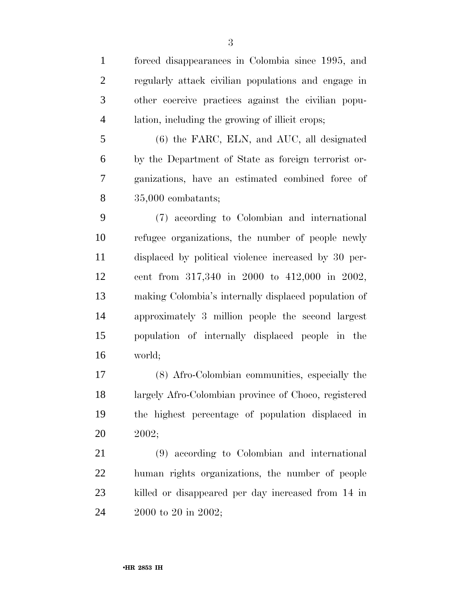forced disappearances in Colombia since 1995, and regularly attack civilian populations and engage in other coercive practices against the civilian popu- lation, including the growing of illicit crops; (6) the FARC, ELN, and AUC, all designated by the Department of State as foreign terrorist or- ganizations, have an estimated combined force of 35,000 combatants; (7) according to Colombian and international

 refugee organizations, the number of people newly displaced by political violence increased by 30 per- cent from 317,340 in 2000 to 412,000 in 2002, making Colombia's internally displaced population of approximately 3 million people the second largest population of internally displaced people in the world;

 (8) Afro-Colombian communities, especially the largely Afro-Colombian province of Choco, registered the highest percentage of population displaced in 2002;

 (9) according to Colombian and international human rights organizations, the number of people killed or disappeared per day increased from 14 in 2000 to 20 in 2002;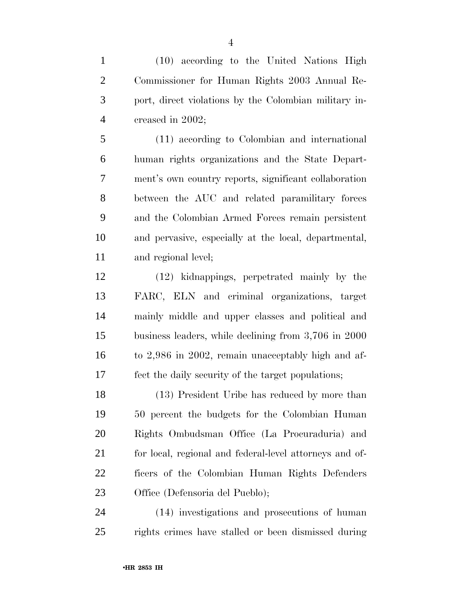(10) according to the United Nations High Commissioner for Human Rights 2003 Annual Re- port, direct violations by the Colombian military in-creased in 2002;

 (11) according to Colombian and international human rights organizations and the State Depart- ment's own country reports, significant collaboration between the AUC and related paramilitary forces and the Colombian Armed Forces remain persistent and pervasive, especially at the local, departmental, and regional level;

 (12) kidnappings, perpetrated mainly by the FARC, ELN and criminal organizations, target mainly middle and upper classes and political and business leaders, while declining from 3,706 in 2000 to 2,986 in 2002, remain unacceptably high and af-fect the daily security of the target populations;

 (13) President Uribe has reduced by more than 50 percent the budgets for the Colombian Human Rights Ombudsman Office (La Procuraduria) and 21 for local, regional and federal-level attorneys and of- ficers of the Colombian Human Rights Defenders Office (Defensoria del Pueblo);

 (14) investigations and prosecutions of human rights crimes have stalled or been dismissed during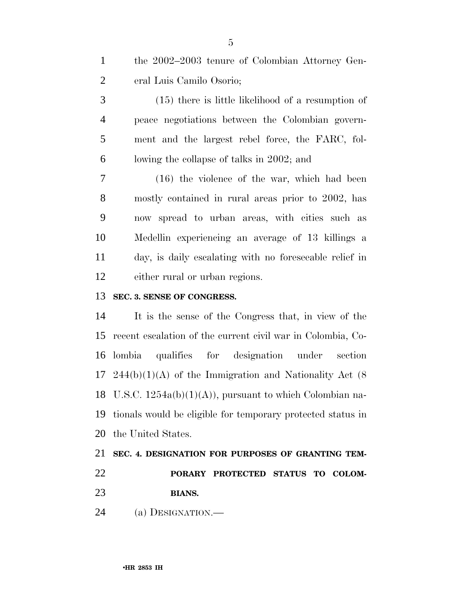| the 2002–2003 tenure of Colombian Attorney Gen- |
|-------------------------------------------------|
| eral Luis Camilo Osorio;                        |

 (15) there is little likelihood of a resumption of peace negotiations between the Colombian govern- ment and the largest rebel force, the FARC, fol-lowing the collapse of talks in 2002; and

 (16) the violence of the war, which had been mostly contained in rural areas prior to 2002, has now spread to urban areas, with cities such as Medellin experiencing an average of 13 killings a day, is daily escalating with no foreseeable relief in either rural or urban regions.

#### **SEC. 3. SENSE OF CONGRESS.**

 It is the sense of the Congress that, in view of the recent escalation of the current civil war in Colombia, Co- lombia qualifies for designation under section  $17 \quad 244(b)(1)(A)$  of the Immigration and Nationality Act (8) U.S.C. 1254a(b)(1)(A)), pursuant to which Colombian na- tionals would be eligible for temporary protected status in the United States.

## **SEC. 4. DESIGNATION FOR PURPOSES OF GRANTING TEM- PORARY PROTECTED STATUS TO COLOM-BIANS.**

(a) DESIGNATION.—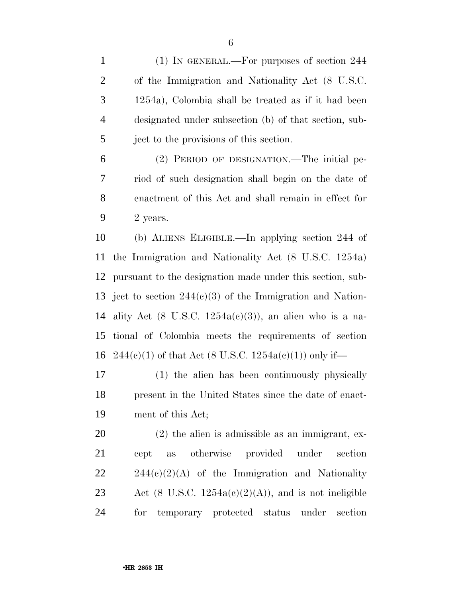(1) IN GENERAL.—For purposes of section 244 of the Immigration and Nationality Act (8 U.S.C. 1254a), Colombia shall be treated as if it had been designated under subsection (b) of that section, sub-ject to the provisions of this section.

 (2) PERIOD OF DESIGNATION.—The initial pe- riod of such designation shall begin on the date of enactment of this Act and shall remain in effect for  $9 \qquad 2 \text{ years.}$ 

 (b) ALIENS ELIGIBLE.—In applying section 244 of the Immigration and Nationality Act (8 U.S.C. 1254a) pursuant to the designation made under this section, sub- ject to section 244(c)(3) of the Immigration and Nation-14 ality Act (8 U.S.C.  $1254a(c)(3)$ ), an alien who is a na- tional of Colombia meets the requirements of section 16 244(e)(1) of that Act (8 U.S.C. 1254a(e)(1)) only if—

 (1) the alien has been continuously physically present in the United States since the date of enact-ment of this Act;

 (2) the alien is admissible as an immigrant, ex- cept as otherwise provided under section  $22 \t244(c)(2)(A)$  of the Immigration and Nationality 23 Act (8 U.S.C.  $1254a(c)(2)(A)$ ), and is not ineligible for temporary protected status under section